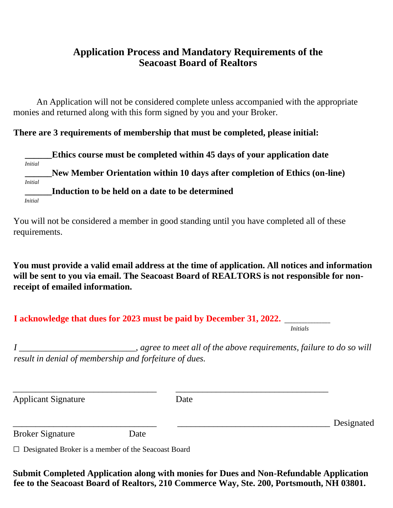## **Application Process and Mandatory Requirements of the Seacoast Board of Realtors**

An Application will not be considered complete unless accompanied with the appropriate monies and returned along with this form signed by you and your Broker.

### **There are 3 requirements of membership that must be completed, please initial:**

**\_\_\_\_\_\_Ethics course must be completed within 45 days of your application date** *Initial* **\_\_\_\_\_\_New Member Orientation within 10 days after completion of Ethics (on-line)** *Initial* **\_\_\_\_\_\_Induction to be held on a date to be determined** *Initial*

You will not be considered a member in good standing until you have completed all of these requirements.

**You must provide a valid email address at the time of application. All notices and information will be sent to you via email. The Seacoast Board of REALTORS is not responsible for nonreceipt of emailed information.** 

| I acknowledge that dues for 2023 must be paid by December 31, 2022. |  |
|---------------------------------------------------------------------|--|
|---------------------------------------------------------------------|--|

*Initials*

*I \_\_\_\_\_\_\_\_\_\_\_\_\_\_\_\_\_\_\_\_\_\_\_\_\_\_, agree to meet all of the above requirements, failure to do so will result in denial of membership and forfeiture of dues.*

Applicant Signature Date

\_\_\_\_\_\_\_\_\_\_\_\_\_\_\_\_\_\_\_\_\_\_\_\_\_\_\_\_\_\_\_\_ \_\_\_\_\_\_\_\_\_\_\_\_\_\_\_\_\_\_\_\_\_\_\_\_\_\_\_\_\_\_\_\_\_\_

\_\_\_\_\_\_\_\_\_\_\_\_\_\_\_\_\_\_\_\_\_\_\_\_\_\_\_\_\_\_\_\_ \_\_\_\_\_\_\_\_\_\_\_\_\_\_\_\_\_\_\_\_\_\_\_\_\_\_\_\_\_\_\_\_\_\_ Designated

Broker Signature Date

□ Designated Broker is a member of the Seacoast Board

**Submit Completed Application along with monies for Dues and Non-Refundable Application fee to the Seacoast Board of Realtors, 210 Commerce Way, Ste. 200, Portsmouth, NH 03801.**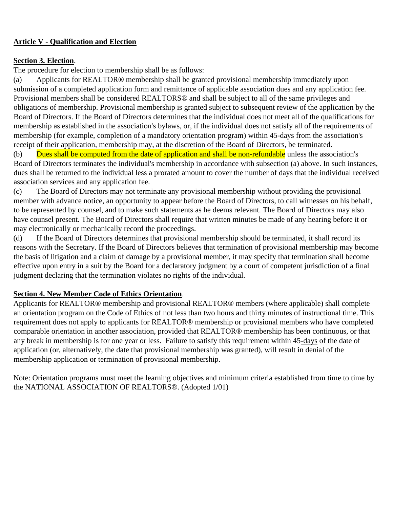### **Article V - Qualification and Election**

#### **Section 3. Election**.

The procedure for election to membership shall be as follows:

(a) Applicants for REALTOR® membership shall be granted provisional membership immediately upon submission of a completed application form and remittance of applicable association dues and any application fee. Provisional members shall be considered REALTORS® and shall be subject to all of the same privileges and obligations of membership. Provisional membership is granted subject to subsequent review of the application by the Board of Directors. If the Board of Directors determines that the individual does not meet all of the qualifications for membership as established in the association's bylaws, or, if the individual does not satisfy all of the requirements of membership (for example, completion of a mandatory orientation program) within 45-days from the association's receipt of their application, membership may, at the discretion of the Board of Directors, be terminated.

(b) Dues shall be computed from the date of application and shall be non-refundable unless the association's Board of Directors terminates the individual's membership in accordance with subsection (a) above. In such instances, dues shall be returned to the individual less a prorated amount to cover the number of days that the individual received association services and any application fee.

(c) The Board of Directors may not terminate any provisional membership without providing the provisional member with advance notice, an opportunity to appear before the Board of Directors, to call witnesses on his behalf, to be represented by counsel, and to make such statements as he deems relevant. The Board of Directors may also have counsel present. The Board of Directors shall require that written minutes be made of any hearing before it or may electronically or mechanically record the proceedings.

(d) If the Board of Directors determines that provisional membership should be terminated, it shall record its reasons with the Secretary. If the Board of Directors believes that termination of provisional membership may become the basis of litigation and a claim of damage by a provisional member, it may specify that termination shall become effective upon entry in a suit by the Board for a declaratory judgment by a court of competent jurisdiction of a final judgment declaring that the termination violates no rights of the individual.

### **Section 4. New Member Code of Ethics Orientation**.

Applicants for REALTOR® membership and provisional REALTOR® members (where applicable) shall complete an orientation program on the Code of Ethics of not less than two hours and thirty minutes of instructional time. This requirement does not apply to applicants for REALTOR® membership or provisional members who have completed comparable orientation in another association, provided that REALTOR® membership has been continuous, or that any break in membership is for one year or less. Failure to satisfy this requirement within 45-days of the date of application (or, alternatively, the date that provisional membership was granted), will result in denial of the membership application or termination of provisional membership.

Note: Orientation programs must meet the learning objectives and minimum criteria established from time to time by the NATIONAL ASSOCIATION OF REALTORS®. (Adopted 1/01)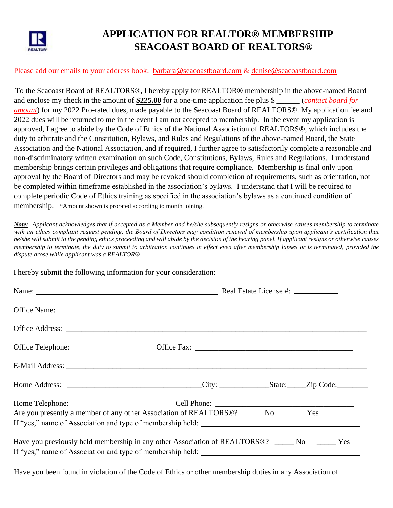

# **APPLICATION FOR REALTOR® MEMBERSHIP SEACOAST BOARD OF REALTORS®**

#### Please add our emails to your address book: [barbara@seacoastboard.com](mailto:barbara@seacoastboard.com) & [denise@seacoastboard.com](mailto:denise@seacoastboard.com)

To the Seacoast Board of REALTORS®, I hereby apply for REALTOR® membership in the above-named Board and enclose my check in the amount of **\$225.00** for a one-time application fee plus \$ \_\_\_\_\_\_ (*contact board for amount*) for my 2022 Pro-rated dues, made payable to the Seacoast Board of REALTORS®. My application fee and 2022 dues will be returned to me in the event I am not accepted to membership. In the event my application is approved, I agree to abide by the Code of Ethics of the National Association of REALTORS®, which includes the duty to arbitrate and the Constitution, Bylaws, and Rules and Regulations of the above-named Board, the State Association and the National Association, and if required, I further agree to satisfactorily complete a reasonable and non-discriminatory written examination on such Code, Constitutions, Bylaws, Rules and Regulations. I understand membership brings certain privileges and obligations that require compliance. Membership is final only upon approval by the Board of Directors and may be revoked should completion of requirements, such as orientation, not be completed within timeframe established in the association's bylaws. I understand that I will be required to complete periodic Code of Ethics training as specified in the association's bylaws as a continued condition of membership. \*Amount shown is prorated according to month joining.

*Note: Applicant acknowledges that if accepted as a Member and he/she subsequently resigns or otherwise causes membership to terminate with an ethics complaint request pending, the Board of Directors may condition renewal of membership upon applicant's certification that he/she will submit to the pending ethics proceeding and will abide by the decision of the hearing panel. If applicant resigns or otherwise causes membership to terminate, the duty to submit to arbitration continues in effect even after membership lapses or is terminated, provided the dispute arose while applicant was a REALTOR®* 

I hereby submit the following information for your consideration:

| Name: Name: Name: Name: Name: Neal Estate License #: Neal Estate License #: Neal Estate License #:         |  |  |  |
|------------------------------------------------------------------------------------------------------------|--|--|--|
|                                                                                                            |  |  |  |
|                                                                                                            |  |  |  |
|                                                                                                            |  |  |  |
|                                                                                                            |  |  |  |
|                                                                                                            |  |  |  |
| Are you presently a member of any other Association of REALTORS®? ______ No _______ Yes                    |  |  |  |
| Have you previously held membership in any other Association of REALTORS <sup>®</sup> ? _____ No _____ Yes |  |  |  |

Have you been found in violation of the Code of Ethics or other membership duties in any Association of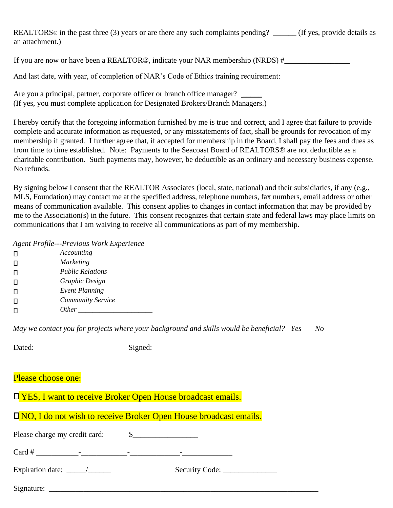REALTORS<sup>®</sup> in the past three (3) years or are there any such complaints pending?  $($ If yes, provide details as an attachment.)

And last date, with year, of completion of NAR's Code of Ethics training requirement:

Are you a principal, partner, corporate officer or branch office manager? (If yes, you must complete application for Designated Brokers/Branch Managers.)

I hereby certify that the foregoing information furnished by me is true and correct, and I agree that failure to provide complete and accurate information as requested, or any misstatements of fact, shall be grounds for revocation of my membership if granted. I further agree that, if accepted for membership in the Board, I shall pay the fees and dues as from time to time established. Note: Payments to the Seacoast Board of REALTORS® are not deductible as a charitable contribution. Such payments may, however, be deductible as an ordinary and necessary business expense. No refunds.

By signing below I consent that the REALTOR Associates (local, state, national) and their subsidiaries, if any (e.g., MLS, Foundation) may contact me at the specified address, telephone numbers, fax numbers, email address or other means of communication available. This consent applies to changes in contact information that may be provided by me to the Association(s) in the future. This consent recognizes that certain state and federal laws may place limits on communications that I am waiving to receive all communications as part of my membership.

*Agent Profile---Previous Work Experience* 

|   | Accounting               |
|---|--------------------------|
|   | <b>Marketing</b>         |
| П | <b>Public Relations</b>  |
|   | Graphic Design           |
| П | <b>Event Planning</b>    |
|   | <b>Community Service</b> |
|   | <i>Other</i>             |

*May we contact you for projects where your background and skills would be beneficial? Yes No* 

|                                                                           | Signed:                        |  |  |  |
|---------------------------------------------------------------------------|--------------------------------|--|--|--|
|                                                                           |                                |  |  |  |
| Please choose one:                                                        |                                |  |  |  |
| <b>Late YES, I want to receive Broker Open House broadcast emails.</b>    |                                |  |  |  |
|                                                                           |                                |  |  |  |
| <b>D</b> NO, I do not wish to receive Broker Open House broadcast emails. |                                |  |  |  |
|                                                                           |                                |  |  |  |
|                                                                           |                                |  |  |  |
| Expiration date: $\frac{\qquad}{\qquad}$                                  | Security Code: _______________ |  |  |  |
|                                                                           |                                |  |  |  |
|                                                                           |                                |  |  |  |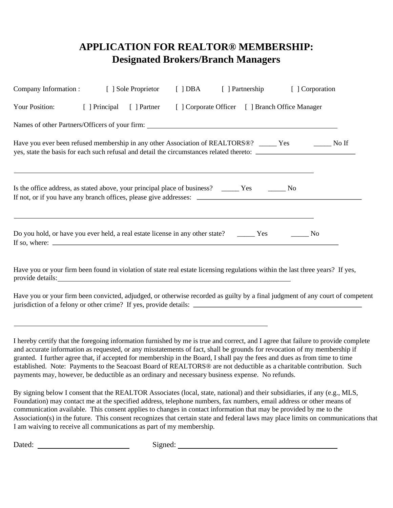# **APPLICATION FOR REALTOR® MEMBERSHIP: Designated Brokers/Branch Managers**

| Company Information : [ ] Sole Proprietor                                                                                                                                                                                                                                                                                                                                                                                                                                                                         | $[$ ] DBA | [ ] Partnership                                 | [ ] Corporation                                                                                                                                                                                                                                                                                                                                                                                                                                                                                                     |
|-------------------------------------------------------------------------------------------------------------------------------------------------------------------------------------------------------------------------------------------------------------------------------------------------------------------------------------------------------------------------------------------------------------------------------------------------------------------------------------------------------------------|-----------|-------------------------------------------------|---------------------------------------------------------------------------------------------------------------------------------------------------------------------------------------------------------------------------------------------------------------------------------------------------------------------------------------------------------------------------------------------------------------------------------------------------------------------------------------------------------------------|
| Your Position: [ ] Principal [ ] Partner                                                                                                                                                                                                                                                                                                                                                                                                                                                                          |           | [ ] Corporate Officer [ ] Branch Office Manager |                                                                                                                                                                                                                                                                                                                                                                                                                                                                                                                     |
| Names of other Partners/Officers of your firm:                                                                                                                                                                                                                                                                                                                                                                                                                                                                    |           |                                                 |                                                                                                                                                                                                                                                                                                                                                                                                                                                                                                                     |
| Have you ever been refused membership in any other Association of REALTORS®? _____ Yes _______ No If<br>yes, state the basis for each such refusal and detail the circumstances related thereto:                                                                                                                                                                                                                                                                                                                  |           |                                                 |                                                                                                                                                                                                                                                                                                                                                                                                                                                                                                                     |
| Is the office address, as stated above, your principal place of business? ______ Yes _______ No                                                                                                                                                                                                                                                                                                                                                                                                                   |           |                                                 |                                                                                                                                                                                                                                                                                                                                                                                                                                                                                                                     |
| Do you hold, or have you ever held, a real estate license in any other state? ________ Yes ________ No<br>If so, where: $\frac{1}{\sqrt{1-\frac{1}{2}}\sqrt{1-\frac{1}{2}}\sqrt{1-\frac{1}{2}}\sqrt{1-\frac{1}{2}}\sqrt{1-\frac{1}{2}}\sqrt{1-\frac{1}{2}}\sqrt{1-\frac{1}{2}}\sqrt{1-\frac{1}{2}}\sqrt{1-\frac{1}{2}}\sqrt{1-\frac{1}{2}}\sqrt{1-\frac{1}{2}}\sqrt{1-\frac{1}{2}}\sqrt{1-\frac{1}{2}}\sqrt{1-\frac{1}{2}}\sqrt{1-\frac{1}{2}}\sqrt{1-\frac{1}{2}}\sqrt{1-\frac{1}{2}}\sqrt{1-\frac{1}{2}}\sqrt{$ |           |                                                 |                                                                                                                                                                                                                                                                                                                                                                                                                                                                                                                     |
|                                                                                                                                                                                                                                                                                                                                                                                                                                                                                                                   |           |                                                 | Have you or your firm been found in violation of state real estate licensing regulations within the last three years? If yes,                                                                                                                                                                                                                                                                                                                                                                                       |
|                                                                                                                                                                                                                                                                                                                                                                                                                                                                                                                   |           |                                                 | Have you or your firm been convicted, adjudged, or otherwise recorded as guilty by a final judgment of any court of competent<br>jurisdiction of a felony or other crime? If yes, provide details:                                                                                                                                                                                                                                                                                                                  |
| payments may, however, be deductible as an ordinary and necessary business expense. No refunds.                                                                                                                                                                                                                                                                                                                                                                                                                   |           |                                                 | I hereby certify that the foregoing information furnished by me is true and correct, and I agree that failure to provide complete<br>and accurate information as requested, or any misstatements of fact, shall be grounds for revocation of my membership if<br>granted. I further agree that, if accepted for membership in the Board, I shall pay the fees and dues as from time to time<br>established. Note: Payments to the Seacoast Board of REALTORS® are not deductible as a charitable contribution. Such |
| communication available. This consent applies to changes in contact information that may be provided by me to the                                                                                                                                                                                                                                                                                                                                                                                                 |           |                                                 | By signing below I consent that the REALTOR Associates (local, state, national) and their subsidiaries, if any (e.g., MLS,<br>Foundation) may contact me at the specified address, telephone numbers, fax numbers, email address or other means of                                                                                                                                                                                                                                                                  |

Association(s) in the future. This consent recognizes that certain state and federal laws may place limits on communications that I am waiving to receive all communications as part of my membership.

Dated: Signed: Signed: Signed: Signed: Signed: Signed: Signed: Signed: Signed: Signed: Signed: Signed: Signed: Signed: Signed: Signed: Signed: Signed: Signed: Signed: Signed: Signed: Signed: Signed: Signed: Signed: Signed: